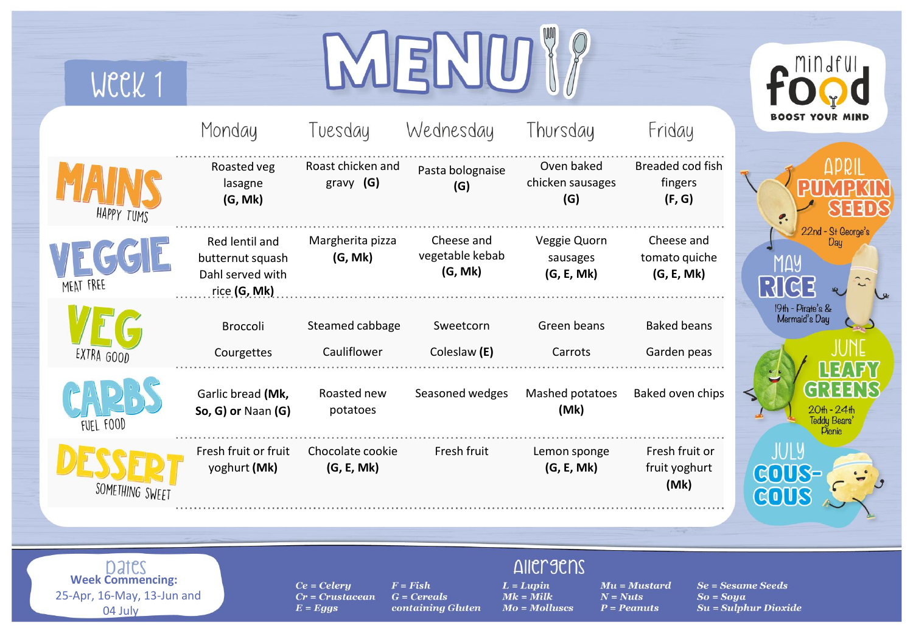| WCCK 1                                                                    |                                                                        |                                                  | $\overline{\mathbf{E}}$                          |                                                                    |                                                                      |                                               |
|---------------------------------------------------------------------------|------------------------------------------------------------------------|--------------------------------------------------|--------------------------------------------------|--------------------------------------------------------------------|----------------------------------------------------------------------|-----------------------------------------------|
|                                                                           | Monday                                                                 | Tuesday                                          | Wednesday                                        | Thursday                                                           | Friday                                                               | BOOST YOUR                                    |
| HAPPY TUMS                                                                | Roasted veg<br>lasagne<br>(G, Mk)                                      | Roast chicken and<br>gravy $(G)$                 | Pasta bolognaise<br>(G)                          | Oven baked<br>chicken sausages<br>(G)                              | Breaded cod fish<br>fingers<br>(F, G)                                |                                               |
| <b>MEAT FREE</b>                                                          | Red lentil and<br>butternut squash<br>Dahl served with<br>rice (G, Mk) | Margherita pizza<br>(G, Mk)                      | Cheese and<br>vegetable kebab<br>(G, Mk)         | Veggie Quorn<br>sausages<br>(G, E, Mk)                             | Cheese and<br>tomato quiche<br>(G, E, Mk)                            | 22nd - St George's<br><u>RICE</u>             |
| EXTRA GOOD                                                                | Broccoli<br>Courgettes                                                 | Steamed cabbage<br>Cauliflower                   | Sweetcorn<br>Coleslaw (E)                        | Green beans<br>Carrots                                             | <b>Baked beans</b><br>Garden peas                                    | 19th - Pirate's &<br>Mermaid's Day            |
| FUEL FOOD                                                                 | Garlic bread (Mk,<br>So, G) or Naan (G)                                | Roasted new<br>potatoes                          | Seasoned wedges                                  | Mashed potatoes<br>(Mk)                                            | Baked oven chips                                                     | 20th - 24th<br>Teddy Bears<br><b>Pienie</b>   |
| SOMETHING SWEET                                                           | Fresh fruit or fruit<br>yoghurt (Mk)                                   | Chocolate cookie<br>(G, E, Mk)                   | Fresh fruit                                      | Lemon sponge<br>(G, E, Mk)                                         | Fresh fruit or<br>fruit yoghurt<br>(Mk)                              | JULY<br>GOUS-<br>GOUS                         |
|                                                                           |                                                                        |                                                  |                                                  |                                                                    |                                                                      |                                               |
| Dates<br><b>Week Commencing:</b><br>25-Apr, 16-May, 13-Jun and<br>04 July |                                                                        | $Ce = Celery$<br>$Cr = Crustacean$<br>$E = Eggs$ | $F = Fish$<br>$G = Cereals$<br>containing Gluten | <b>AIICLACION</b><br>$L = Lupin$<br>$Mk =$ Milk<br>$Mo = Molluscs$ | $Mu = Mustard$<br>$N = Nuts$<br>$So = Soya$<br>$P = Pe$ <i>anuts</i> | $Se =$ Sesame Seeds<br>$Su = Sulphur Dioxide$ |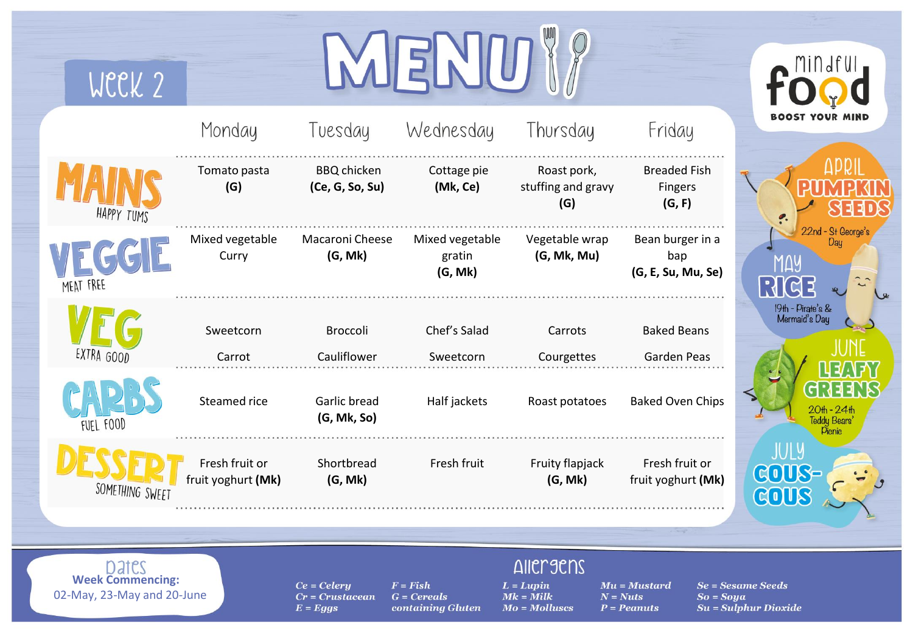| WCCK 2                                                         |                                      |                                                  |                                                  |                                                                    |                                                              |                                             |
|----------------------------------------------------------------|--------------------------------------|--------------------------------------------------|--------------------------------------------------|--------------------------------------------------------------------|--------------------------------------------------------------|---------------------------------------------|
|                                                                | Monday                               | Tuesday                                          | Wednesday                                        | Thursday                                                           | Friday                                                       | <b>BOOST YOUR MIND</b>                      |
| HAPPY TUMS                                                     | Tomato pasta<br>(G)                  | <b>BBQ</b> chicken<br>(Ce, G, So, Su)            | Cottage pie<br>(Mk, Ce)                          | Roast pork,<br>stuffing and gravy<br>(G)                           | <b>Breaded Fish</b><br>Fingers<br>(G, F)                     |                                             |
| MEAT FREE                                                      | Mixed vegetable<br>Curry             | Macaroni Cheese<br>(G, Mk)                       | Mixed vegetable<br>gratin<br>(G, Mk)             | Vegetable wrap<br>(G, Mk, Mu)                                      | Bean burger in a<br>bap<br>(G, E, Su, Mu, Se)                | 22nd - St George's<br>Dau<br><u>RK</u>      |
| EXTRA GOOD                                                     | Sweetcorn<br>Carrot                  | <b>Broccoli</b><br>Cauliflower                   | Chef's Salad<br>Sweetcorn                        | Carrots<br>Courgettes                                              | <b>Baked Beans</b><br>Garden Peas                            | 19th - Pirate's &<br>Mermaid's Day          |
| FUEL FOOD                                                      | Steamed rice                         | Garlic bread<br>(G, Mk, So)                      | Half jackets                                     | Roast potatoes                                                     | <b>Baked Oven Chips</b>                                      | $20th - 24th$<br>Teddy Bears'<br>Picnic     |
| SOMETHING SWEET                                                | Fresh fruit or<br>fruit yoghurt (Mk) | Shortbread<br>(G, Mk)                            | Fresh fruit                                      | Fruity flapjack<br>(G, Mk)                                         | Fresh fruit or<br>fruit yoghurt (Mk)                         | JULY<br><b>COUS-</b><br>GOUS                |
|                                                                |                                      |                                                  |                                                  |                                                                    |                                                              |                                             |
| Dates<br><b>Week Commencing:</b><br>02-May, 23-May and 20-June |                                      | $Ce = Celery$<br>$Cr =$ Crustacean<br>$E = Eggs$ | $F = Fish$<br>$G = Cereals$<br>containing Gluten | <b>AIICLACEDS</b><br>$L = Lupin$<br>$Mk =$ Milk<br>$Mo = Molluses$ | $Mu = Mustard$<br>$N = Nuts$<br>$So = Soya$<br>$P = Peanuts$ | Se = Sesame Seeds<br>$Su = Sulphur Dioxide$ |